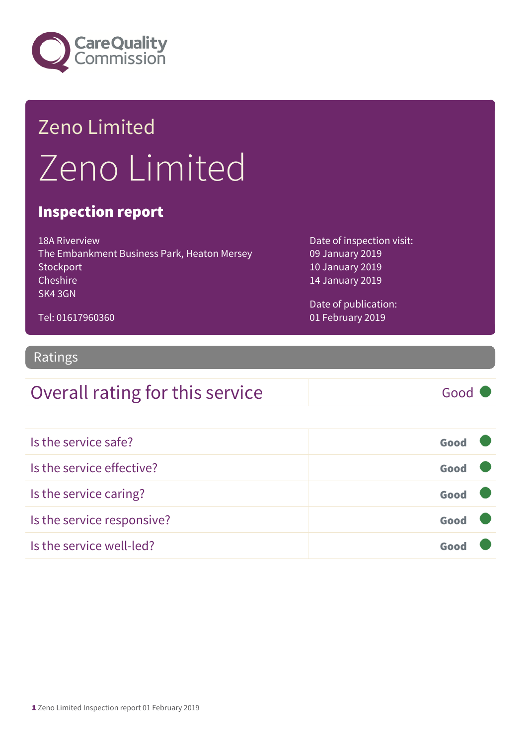

## Zeno Limited Zeno Limited

#### Inspection report

18A Riverview The Embankment Business Park, Heaton Mersey **Stockport** Cheshire SK4 3GN

Date of inspection visit: 09 January 2019 10 January 2019 14 January 2019

Date of publication: 01 February 2019

Tel: 01617960360

#### Ratings

#### Overall rating for this service Good

| Is the service safe?       | Good |
|----------------------------|------|
| Is the service effective?  | Good |
| Is the service caring?     | Good |
| Is the service responsive? | Good |
| Is the service well-led?   |      |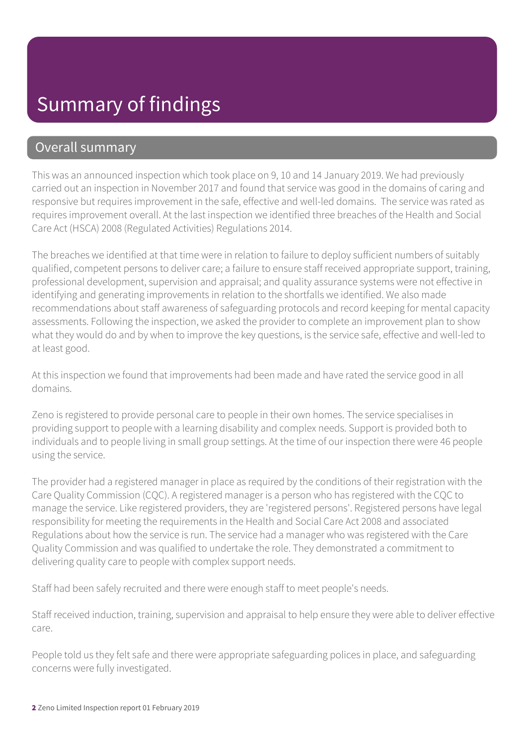#### Overall summary

This was an announced inspection which took place on 9, 10 and 14 January 2019. We had previously carried out an inspection in November 2017 and found that service was good in the domains of caring and responsive but requires improvement in the safe, effective and well-led domains. The service was rated as requires improvement overall. At the last inspection we identified three breaches of the Health and Social Care Act (HSCA) 2008 (Regulated Activities) Regulations 2014.

The breaches we identified at that time were in relation to failure to deploy sufficient numbers of suitably qualified, competent persons to deliver care; a failure to ensure staff received appropriate support, training, professional development, supervision and appraisal; and quality assurance systems were not effective in identifying and generating improvements in relation to the shortfalls we identified. We also made recommendations about staff awareness of safeguarding protocols and record keeping for mental capacity assessments. Following the inspection, we asked the provider to complete an improvement plan to show what they would do and by when to improve the key questions, is the service safe, effective and well-led to at least good.

At this inspection we found that improvements had been made and have rated the service good in all domains.

Zeno is registered to provide personal care to people in their own homes. The service specialises in providing support to people with a learning disability and complex needs. Support is provided both to individuals and to people living in small group settings. At the time of our inspection there were 46 people using the service.

The provider had a registered manager in place as required by the conditions of their registration with the Care Quality Commission (CQC). A registered manager is a person who has registered with the CQC to manage the service. Like registered providers, they are 'registered persons'. Registered persons have legal responsibility for meeting the requirements in the Health and Social Care Act 2008 and associated Regulations about how the service is run. The service had a manager who was registered with the Care Quality Commission and was qualified to undertake the role. They demonstrated a commitment to delivering quality care to people with complex support needs.

Staff had been safely recruited and there were enough staff to meet people's needs.

Staff received induction, training, supervision and appraisal to help ensure they were able to deliver effective care.

People told us they felt safe and there were appropriate safeguarding polices in place, and safeguarding concerns were fully investigated.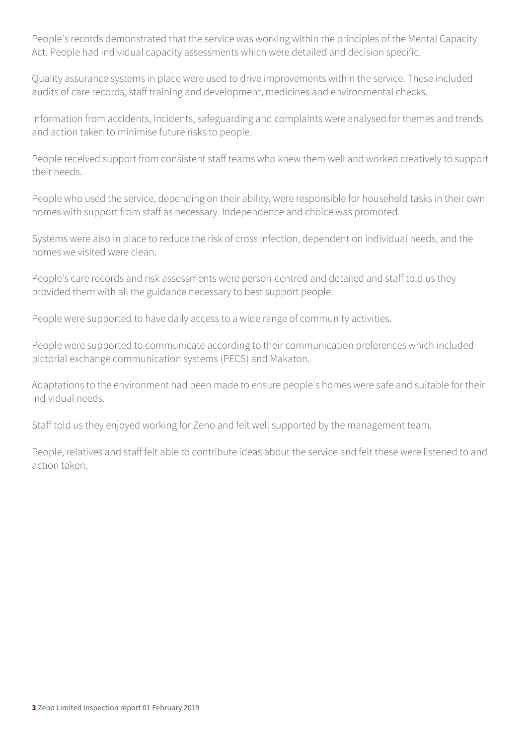People's records demonstrated that the service was working within the principles of the Mental Capacity Act. People had individual capacity assessments which were detailed and decision specific.

Quality assurance systems in place were used to drive improvements within the service. These included audits of care records, staff training and development, medicines and environmental checks.

Information from accidents, incidents, safeguarding and complaints were analysed for themes and trends and action taken to minimise future risks to people.

People received support from consistent staff teams who knew them well and worked creatively to support their needs.

People who used the service, depending on their ability, were responsible for household tasks in their own homes with support from staff as necessary. Independence and choice was promoted.

Systems were also in place to reduce the risk of cross infection, dependent on individual needs, and the homes we visited were clean.

People's care records and risk assessments were person-centred and detailed and staff told us they provided them with all the guidance necessary to best support people.

People were supported to have daily access to a wide range of community activities.

People were supported to communicate according to their communication preferences which included pictorial exchange communication systems (PECS) and Makaton.

Adaptations to the environment had been made to ensure people's homes were safe and suitable for their individual needs.

Staff told us they enjoyed working for Zeno and felt well supported by the management team.

People, relatives and staff felt able to contribute ideas about the service and felt these were listened to and action taken.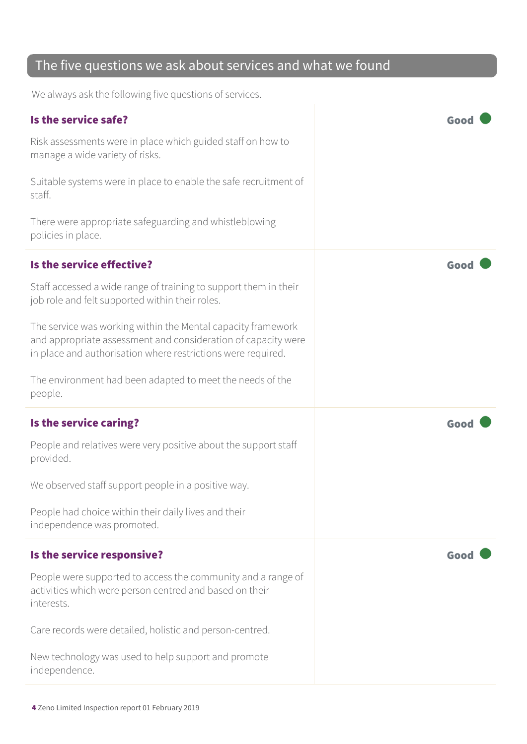#### The five questions we ask about services and what we found

We always ask the following five questions of services.

| Is the service safe?                                                                                                                                                                          | Goo  |
|-----------------------------------------------------------------------------------------------------------------------------------------------------------------------------------------------|------|
| Risk assessments were in place which guided staff on how to<br>manage a wide variety of risks.                                                                                                |      |
| Suitable systems were in place to enable the safe recruitment of<br>staff.                                                                                                                    |      |
| There were appropriate safeguarding and whistleblowing<br>policies in place.                                                                                                                  |      |
| Is the service effective?                                                                                                                                                                     | Goo  |
| Staff accessed a wide range of training to support them in their<br>job role and felt supported within their roles.                                                                           |      |
| The service was working within the Mental capacity framework<br>and appropriate assessment and consideration of capacity were<br>in place and authorisation where restrictions were required. |      |
| The environment had been adapted to meet the needs of the<br>people.                                                                                                                          |      |
|                                                                                                                                                                                               |      |
| Is the service caring?                                                                                                                                                                        | Goo  |
| People and relatives were very positive about the support staff<br>provided.                                                                                                                  |      |
| We observed staff support people in a positive way.                                                                                                                                           |      |
| People had choice within their daily lives and their<br>independence was promoted.                                                                                                            |      |
| Is the service responsive?                                                                                                                                                                    | Good |
| People were supported to access the community and a range of<br>activities which were person centred and based on their<br>interests.                                                         |      |
| Care records were detailed, holistic and person-centred.                                                                                                                                      |      |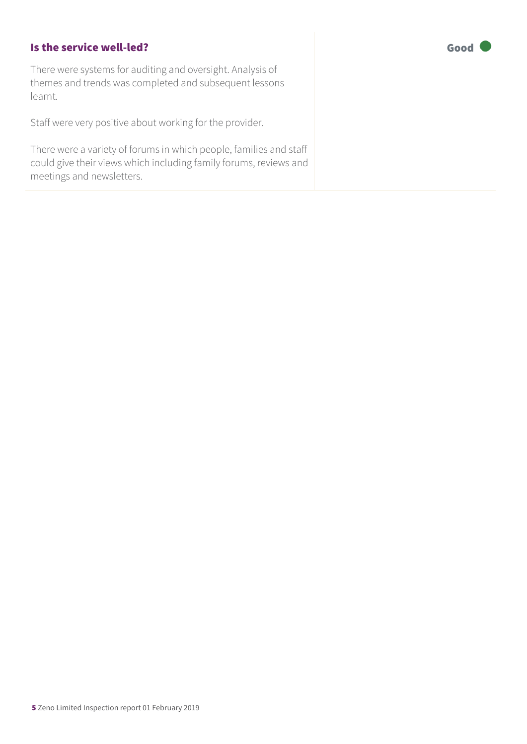#### Is the service well-led? The service well-led?

There were systems for auditing and oversight. Analysis of themes and trends was completed and subsequent lessons learnt.

Staff were very positive about working for the provider.

There were a variety of forums in which people, families and staff could give their views which including family forums, reviews and meetings and newsletters.

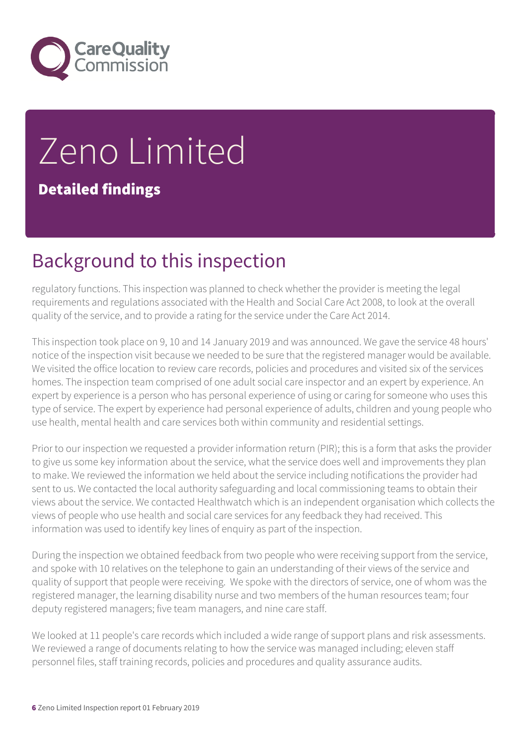

# Zeno Limited

Detailed findings

## Background to this inspection

regulatory functions. This inspection was planned to check whether the provider is meeting the legal requirements and regulations associated with the Health and Social Care Act 2008, to look at the overall quality of the service, and to provide a rating for the service under the Care Act 2014.

This inspection took place on 9, 10 and 14 January 2019 and was announced. We gave the service 48 hours' notice of the inspection visit because we needed to be sure that the registered manager would be available. We visited the office location to review care records, policies and procedures and visited six of the services homes. The inspection team comprised of one adult social care inspector and an expert by experience. An expert by experience is a person who has personal experience of using or caring for someone who uses this type of service. The expert by experience had personal experience of adults, children and young people who use health, mental health and care services both within community and residential settings.

Prior to our inspection we requested a provider information return (PIR); this is a form that asks the provider to give us some key information about the service, what the service does well and improvements they plan to make. We reviewed the information we held about the service including notifications the provider had sent to us. We contacted the local authority safeguarding and local commissioning teams to obtain their views about the service. We contacted Healthwatch which is an independent organisation which collects the views of people who use health and social care services for any feedback they had received. This information was used to identify key lines of enquiry as part of the inspection.

During the inspection we obtained feedback from two people who were receiving support from the service, and spoke with 10 relatives on the telephone to gain an understanding of their views of the service and quality of support that people were receiving. We spoke with the directors of service, one of whom was the registered manager, the learning disability nurse and two members of the human resources team; four deputy registered managers; five team managers, and nine care staff.

We looked at 11 people's care records which included a wide range of support plans and risk assessments. We reviewed a range of documents relating to how the service was managed including; eleven staff personnel files, staff training records, policies and procedures and quality assurance audits.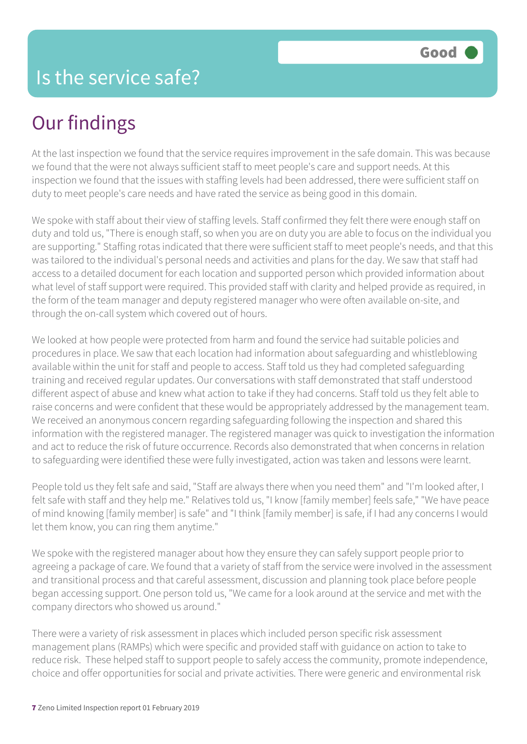## Our findings

At the last inspection we found that the service requires improvement in the safe domain. This was because we found that the were not always sufficient staff to meet people's care and support needs. At this inspection we found that the issues with staffing levels had been addressed, there were sufficient staff on duty to meet people's care needs and have rated the service as being good in this domain.

We spoke with staff about their view of staffing levels. Staff confirmed they felt there were enough staff on duty and told us, "There is enough staff, so when you are on duty you are able to focus on the individual you are supporting." Staffing rotas indicated that there were sufficient staff to meet people's needs, and that this was tailored to the individual's personal needs and activities and plans for the day. We saw that staff had access to a detailed document for each location and supported person which provided information about what level of staff support were required. This provided staff with clarity and helped provide as required, in the form of the team manager and deputy registered manager who were often available on-site, and through the on-call system which covered out of hours.

We looked at how people were protected from harm and found the service had suitable policies and procedures in place. We saw that each location had information about safeguarding and whistleblowing available within the unit for staff and people to access. Staff told us they had completed safeguarding training and received regular updates. Our conversations with staff demonstrated that staff understood different aspect of abuse and knew what action to take if they had concerns. Staff told us they felt able to raise concerns and were confident that these would be appropriately addressed by the management team. We received an anonymous concern regarding safeguarding following the inspection and shared this information with the registered manager. The registered manager was quick to investigation the information and act to reduce the risk of future occurrence. Records also demonstrated that when concerns in relation to safeguarding were identified these were fully investigated, action was taken and lessons were learnt.

People told us they felt safe and said, "Staff are always there when you need them" and "I'm looked after, I felt safe with staff and they help me." Relatives told us, "I know [family member] feels safe," "We have peace of mind knowing [family member] is safe" and "I think [family member] is safe, if I had any concerns I would let them know, you can ring them anytime."

We spoke with the registered manager about how they ensure they can safely support people prior to agreeing a package of care. We found that a variety of staff from the service were involved in the assessment and transitional process and that careful assessment, discussion and planning took place before people began accessing support. One person told us, "We came for a look around at the service and met with the company directors who showed us around."

There were a variety of risk assessment in places which included person specific risk assessment management plans (RAMPs) which were specific and provided staff with guidance on action to take to reduce risk. These helped staff to support people to safely access the community, promote independence, choice and offer opportunities for social and private activities. There were generic and environmental risk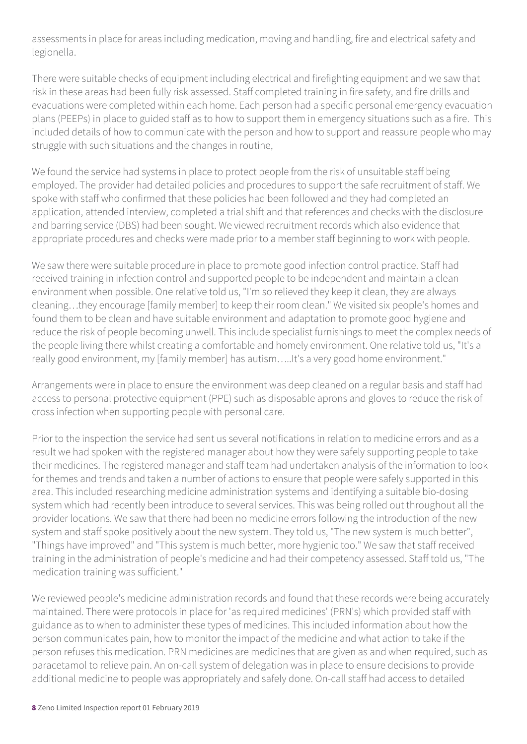assessments in place for areas including medication, moving and handling, fire and electrical safety and legionella.

There were suitable checks of equipment including electrical and firefighting equipment and we saw that risk in these areas had been fully risk assessed. Staff completed training in fire safety, and fire drills and evacuations were completed within each home. Each person had a specific personal emergency evacuation plans (PEEPs) in place to guided staff as to how to support them in emergency situations such as a fire. This included details of how to communicate with the person and how to support and reassure people who may struggle with such situations and the changes in routine,

We found the service had systems in place to protect people from the risk of unsuitable staff being employed. The provider had detailed policies and procedures to support the safe recruitment of staff. We spoke with staff who confirmed that these policies had been followed and they had completed an application, attended interview, completed a trial shift and that references and checks with the disclosure and barring service (DBS) had been sought. We viewed recruitment records which also evidence that appropriate procedures and checks were made prior to a member staff beginning to work with people.

We saw there were suitable procedure in place to promote good infection control practice. Staff had received training in infection control and supported people to be independent and maintain a clean environment when possible. One relative told us, "I'm so relieved they keep it clean, they are always cleaning…they encourage [family member] to keep their room clean." We visited six people's homes and found them to be clean and have suitable environment and adaptation to promote good hygiene and reduce the risk of people becoming unwell. This include specialist furnishings to meet the complex needs of the people living there whilst creating a comfortable and homely environment. One relative told us, "It's a really good environment, my [family member] has autism…..It's a very good home environment."

Arrangements were in place to ensure the environment was deep cleaned on a regular basis and staff had access to personal protective equipment (PPE) such as disposable aprons and gloves to reduce the risk of cross infection when supporting people with personal care.

Prior to the inspection the service had sent us several notifications in relation to medicine errors and as a result we had spoken with the registered manager about how they were safely supporting people to take their medicines. The registered manager and staff team had undertaken analysis of the information to look for themes and trends and taken a number of actions to ensure that people were safely supported in this area. This included researching medicine administration systems and identifying a suitable bio-dosing system which had recently been introduce to several services. This was being rolled out throughout all the provider locations. We saw that there had been no medicine errors following the introduction of the new system and staff spoke positively about the new system. They told us, "The new system is much better", "Things have improved" and "This system is much better, more hygienic too." We saw that staff received training in the administration of people's medicine and had their competency assessed. Staff told us, "The medication training was sufficient."

We reviewed people's medicine administration records and found that these records were being accurately maintained. There were protocols in place for 'as required medicines' (PRN's) which provided staff with guidance as to when to administer these types of medicines. This included information about how the person communicates pain, how to monitor the impact of the medicine and what action to take if the person refuses this medication. PRN medicines are medicines that are given as and when required, such as paracetamol to relieve pain. An on-call system of delegation was in place to ensure decisions to provide additional medicine to people was appropriately and safely done. On-call staff had access to detailed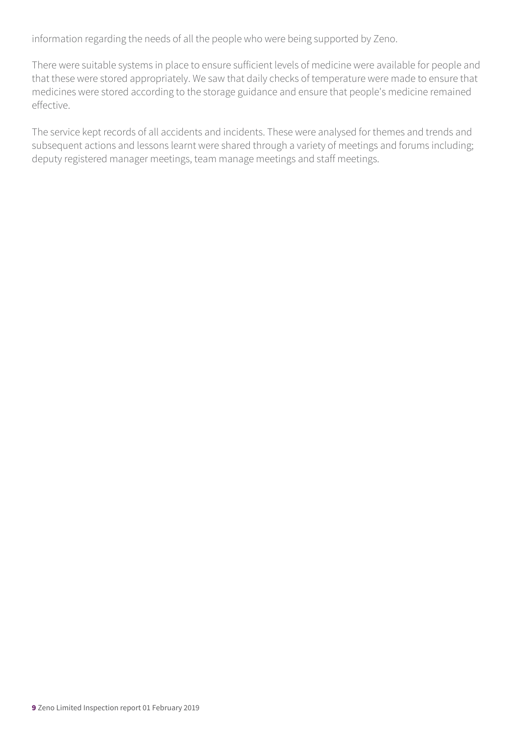information regarding the needs of all the people who were being supported by Zeno.

There were suitable systems in place to ensure sufficient levels of medicine were available for people and that these were stored appropriately. We saw that daily checks of temperature were made to ensure that medicines were stored according to the storage guidance and ensure that people's medicine remained effective.

The service kept records of all accidents and incidents. These were analysed for themes and trends and subsequent actions and lessons learnt were shared through a variety of meetings and forums including; deputy registered manager meetings, team manage meetings and staff meetings.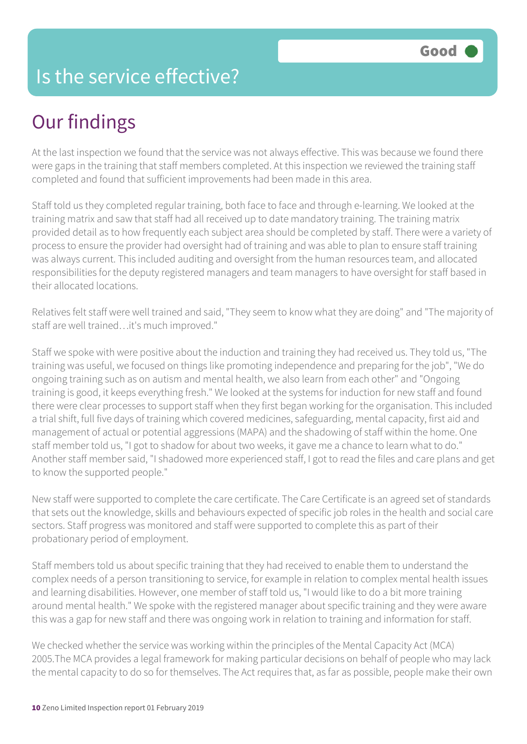#### Is the service effective?

## Our findings

At the last inspection we found that the service was not always effective. This was because we found there were gaps in the training that staff members completed. At this inspection we reviewed the training staff completed and found that sufficient improvements had been made in this area.

Staff told us they completed regular training, both face to face and through e-learning. We looked at the training matrix and saw that staff had all received up to date mandatory training. The training matrix provided detail as to how frequently each subject area should be completed by staff. There were a variety of process to ensure the provider had oversight had of training and was able to plan to ensure staff training was always current. This included auditing and oversight from the human resources team, and allocated responsibilities for the deputy registered managers and team managers to have oversight for staff based in their allocated locations.

Relatives felt staff were well trained and said, "They seem to know what they are doing" and "The majority of staff are well trained…it's much improved."

Staff we spoke with were positive about the induction and training they had received us. They told us, "The training was useful, we focused on things like promoting independence and preparing for the job", "We do ongoing training such as on autism and mental health, we also learn from each other" and "Ongoing training is good, it keeps everything fresh." We looked at the systems for induction for new staff and found there were clear processes to support staff when they first began working for the organisation. This included a trial shift, full five days of training which covered medicines, safeguarding, mental capacity, first aid and management of actual or potential aggressions (MAPA) and the shadowing of staff within the home. One staff member told us, "I got to shadow for about two weeks, it gave me a chance to learn what to do." Another staff member said, "I shadowed more experienced staff, I got to read the files and care plans and get to know the supported people."

New staff were supported to complete the care certificate. The Care Certificate is an agreed set of standards that sets out the knowledge, skills and behaviours expected of specific job roles in the health and social care sectors. Staff progress was monitored and staff were supported to complete this as part of their probationary period of employment.

Staff members told us about specific training that they had received to enable them to understand the complex needs of a person transitioning to service, for example in relation to complex mental health issues and learning disabilities. However, one member of staff told us, "I would like to do a bit more training around mental health." We spoke with the registered manager about specific training and they were aware this was a gap for new staff and there was ongoing work in relation to training and information for staff.

We checked whether the service was working within the principles of the Mental Capacity Act (MCA) 2005.The MCA provides a legal framework for making particular decisions on behalf of people who may lack the mental capacity to do so for themselves. The Act requires that, as far as possible, people make their own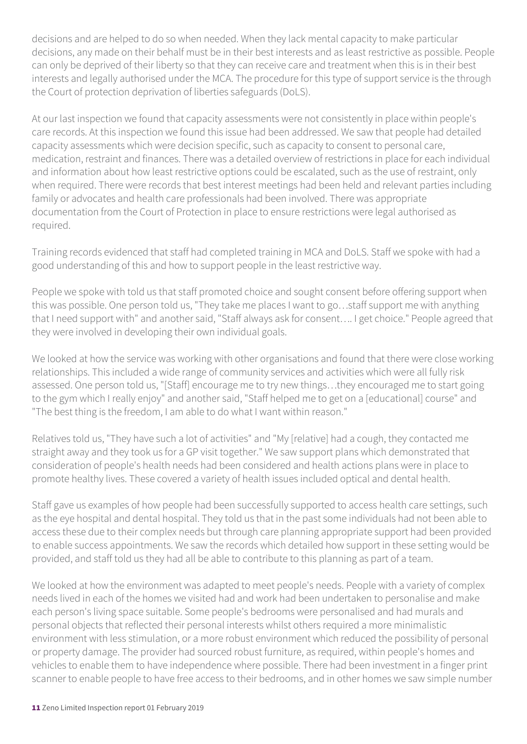decisions and are helped to do so when needed. When they lack mental capacity to make particular decisions, any made on their behalf must be in their best interests and as least restrictive as possible. People can only be deprived of their liberty so that they can receive care and treatment when this is in their best interests and legally authorised under the MCA. The procedure for this type of support service is the through the Court of protection deprivation of liberties safeguards (DoLS).

At our last inspection we found that capacity assessments were not consistently in place within people's care records. At this inspection we found this issue had been addressed. We saw that people had detailed capacity assessments which were decision specific, such as capacity to consent to personal care, medication, restraint and finances. There was a detailed overview of restrictions in place for each individual and information about how least restrictive options could be escalated, such as the use of restraint, only when required. There were records that best interest meetings had been held and relevant parties including family or advocates and health care professionals had been involved. There was appropriate documentation from the Court of Protection in place to ensure restrictions were legal authorised as required.

Training records evidenced that staff had completed training in MCA and DoLS. Staff we spoke with had a good understanding of this and how to support people in the least restrictive way.

People we spoke with told us that staff promoted choice and sought consent before offering support when this was possible. One person told us, "They take me places I want to go…staff support me with anything that I need support with" and another said, "Staff always ask for consent…. I get choice." People agreed that they were involved in developing their own individual goals.

We looked at how the service was working with other organisations and found that there were close working relationships. This included a wide range of community services and activities which were all fully risk assessed. One person told us, "[Staff] encourage me to try new things…they encouraged me to start going to the gym which I really enjoy" and another said, "Staff helped me to get on a [educational] course" and "The best thing is the freedom, I am able to do what I want within reason."

Relatives told us, "They have such a lot of activities" and "My [relative] had a cough, they contacted me straight away and they took us for a GP visit together." We saw support plans which demonstrated that consideration of people's health needs had been considered and health actions plans were in place to promote healthy lives. These covered a variety of health issues included optical and dental health.

Staff gave us examples of how people had been successfully supported to access health care settings, such as the eye hospital and dental hospital. They told us that in the past some individuals had not been able to access these due to their complex needs but through care planning appropriate support had been provided to enable success appointments. We saw the records which detailed how support in these setting would be provided, and staff told us they had all be able to contribute to this planning as part of a team.

We looked at how the environment was adapted to meet people's needs. People with a variety of complex needs lived in each of the homes we visited had and work had been undertaken to personalise and make each person's living space suitable. Some people's bedrooms were personalised and had murals and personal objects that reflected their personal interests whilst others required a more minimalistic environment with less stimulation, or a more robust environment which reduced the possibility of personal or property damage. The provider had sourced robust furniture, as required, within people's homes and vehicles to enable them to have independence where possible. There had been investment in a finger print scanner to enable people to have free access to their bedrooms, and in other homes we saw simple number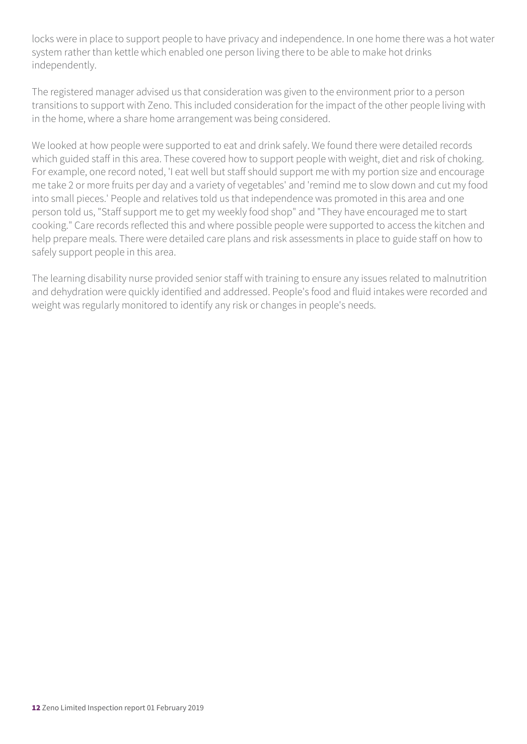locks were in place to support people to have privacy and independence. In one home there was a hot water system rather than kettle which enabled one person living there to be able to make hot drinks independently.

The registered manager advised us that consideration was given to the environment prior to a person transitions to support with Zeno. This included consideration for the impact of the other people living with in the home, where a share home arrangement was being considered.

We looked at how people were supported to eat and drink safely. We found there were detailed records which guided staff in this area. These covered how to support people with weight, diet and risk of choking. For example, one record noted, 'I eat well but staff should support me with my portion size and encourage me take 2 or more fruits per day and a variety of vegetables' and 'remind me to slow down and cut my food into small pieces.' People and relatives told us that independence was promoted in this area and one person told us, "Staff support me to get my weekly food shop" and "They have encouraged me to start cooking." Care records reflected this and where possible people were supported to access the kitchen and help prepare meals. There were detailed care plans and risk assessments in place to guide staff on how to safely support people in this area.

The learning disability nurse provided senior staff with training to ensure any issues related to malnutrition and dehydration were quickly identified and addressed. People's food and fluid intakes were recorded and weight was regularly monitored to identify any risk or changes in people's needs.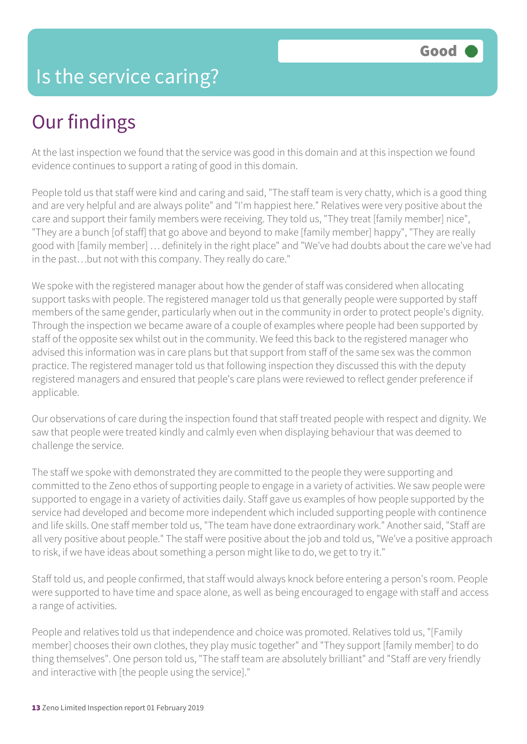#### Is the service caring?

## Our findings

At the last inspection we found that the service was good in this domain and at this inspection we found evidence continues to support a rating of good in this domain.

People told us that staff were kind and caring and said, "The staff team is very chatty, which is a good thing and are very helpful and are always polite" and "I'm happiest here." Relatives were very positive about the care and support their family members were receiving. They told us, "They treat [family member] nice", "They are a bunch [of staff] that go above and beyond to make [family member] happy", "They are really good with [family member] … definitely in the right place" and "We've had doubts about the care we've had in the past…but not with this company. They really do care."

We spoke with the registered manager about how the gender of staff was considered when allocating support tasks with people. The registered manager told us that generally people were supported by staff members of the same gender, particularly when out in the community in order to protect people's dignity. Through the inspection we became aware of a couple of examples where people had been supported by staff of the opposite sex whilst out in the community. We feed this back to the registered manager who advised this information was in care plans but that support from staff of the same sex was the common practice. The registered manager told us that following inspection they discussed this with the deputy registered managers and ensured that people's care plans were reviewed to reflect gender preference if applicable.

Our observations of care during the inspection found that staff treated people with respect and dignity. We saw that people were treated kindly and calmly even when displaying behaviour that was deemed to challenge the service.

The staff we spoke with demonstrated they are committed to the people they were supporting and committed to the Zeno ethos of supporting people to engage in a variety of activities. We saw people were supported to engage in a variety of activities daily. Staff gave us examples of how people supported by the service had developed and become more independent which included supporting people with continence and life skills. One staff member told us, "The team have done extraordinary work." Another said, "Staff are all very positive about people." The staff were positive about the job and told us, "We've a positive approach to risk, if we have ideas about something a person might like to do, we get to try it."

Staff told us, and people confirmed, that staff would always knock before entering a person's room. People were supported to have time and space alone, as well as being encouraged to engage with staff and access a range of activities.

People and relatives told us that independence and choice was promoted. Relatives told us, "[Family member] chooses their own clothes, they play music together" and "They support [family member] to do thing themselves". One person told us, "The staff team are absolutely brilliant" and "Staff are very friendly and interactive with [the people using the service]."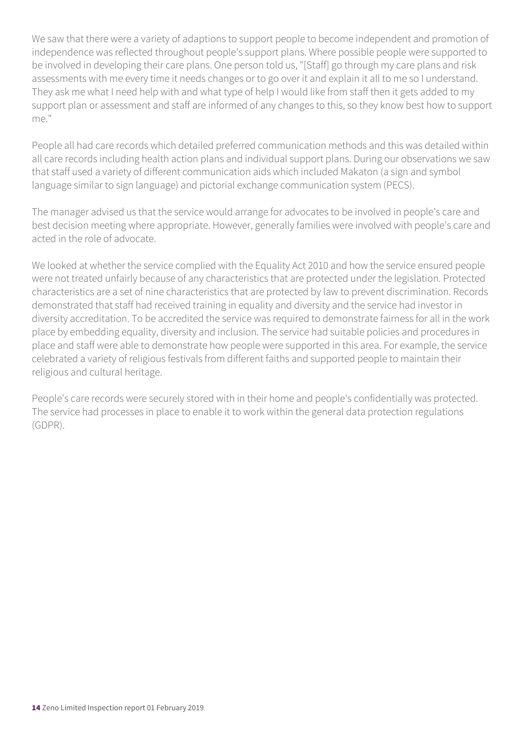We saw that there were a variety of adaptions to support people to become independent and promotion of independence was reflected throughout people's support plans. Where possible people were supported to be involved in developing their care plans. One person told us, "[Staff] go through my care plans and risk assessments with me every time it needs changes or to go over it and explain it all to me so I understand. They ask me what I need help with and what type of help I would like from staff then it gets added to my support plan or assessment and staff are informed of any changes to this, so they know best how to support me."

People all had care records which detailed preferred communication methods and this was detailed within all care records including health action plans and individual support plans. During our observations we saw that staff used a variety of different communication aids which included Makaton (a sign and symbol language similar to sign language) and pictorial exchange communication system (PECS).

The manager advised us that the service would arrange for advocates to be involved in people's care and best decision meeting where appropriate. However, generally families were involved with people's care and acted in the role of advocate.

We looked at whether the service complied with the Equality Act 2010 and how the service ensured people were not treated unfairly because of any characteristics that are protected under the legislation. Protected characteristics are a set of nine characteristics that are protected by law to prevent discrimination. Records demonstrated that staff had received training in equality and diversity and the service had investor in diversity accreditation. To be accredited the service was required to demonstrate fairness for all in the work place by embedding equality, diversity and inclusion. The service had suitable policies and procedures in place and staff were able to demonstrate how people were supported in this area. For example, the service celebrated a variety of religious festivals from different faiths and supported people to maintain their religious and cultural heritage.

People's care records were securely stored with in their home and people's confidentially was protected. The service had processes in place to enable it to work within the general data protection regulations (GDPR).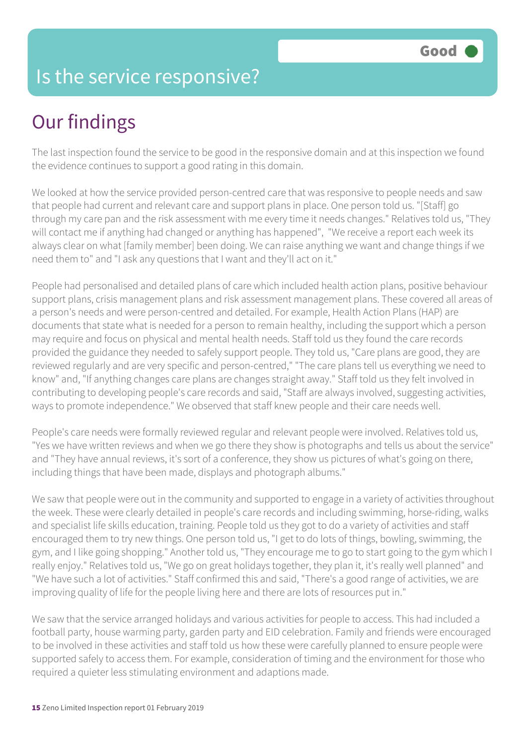#### Is the service responsive?

## Our findings

The last inspection found the service to be good in the responsive domain and at this inspection we found the evidence continues to support a good rating in this domain.

We looked at how the service provided person-centred care that was responsive to people needs and saw that people had current and relevant care and support plans in place. One person told us. "[Staff] go through my care pan and the risk assessment with me every time it needs changes." Relatives told us, "They will contact me if anything had changed or anything has happened", "We receive a report each week its always clear on what [family member] been doing. We can raise anything we want and change things if we need them to" and "I ask any questions that I want and they'll act on it."

People had personalised and detailed plans of care which included health action plans, positive behaviour support plans, crisis management plans and risk assessment management plans. These covered all areas of a person's needs and were person-centred and detailed. For example, Health Action Plans (HAP) are documents that state what is needed for a person to remain healthy, including the support which a person may require and focus on physical and mental health needs. Staff told us they found the care records provided the guidance they needed to safely support people. They told us, "Care plans are good, they are reviewed regularly and are very specific and person-centred," "The care plans tell us everything we need to know" and, "If anything changes care plans are changes straight away." Staff told us they felt involved in contributing to developing people's care records and said, "Staff are always involved, suggesting activities, ways to promote independence." We observed that staff knew people and their care needs well.

People's care needs were formally reviewed regular and relevant people were involved. Relatives told us, "Yes we have written reviews and when we go there they show is photographs and tells us about the service" and "They have annual reviews, it's sort of a conference, they show us pictures of what's going on there, including things that have been made, displays and photograph albums."

We saw that people were out in the community and supported to engage in a variety of activities throughout the week. These were clearly detailed in people's care records and including swimming, horse-riding, walks and specialist life skills education, training. People told us they got to do a variety of activities and staff encouraged them to try new things. One person told us, "I get to do lots of things, bowling, swimming, the gym, and I like going shopping." Another told us, "They encourage me to go to start going to the gym which I really enjoy." Relatives told us, "We go on great holidays together, they plan it, it's really well planned" and "We have such a lot of activities." Staff confirmed this and said, "There's a good range of activities, we are improving quality of life for the people living here and there are lots of resources put in."

We saw that the service arranged holidays and various activities for people to access. This had included a football party, house warming party, garden party and EID celebration. Family and friends were encouraged to be involved in these activities and staff told us how these were carefully planned to ensure people were supported safely to access them. For example, consideration of timing and the environment for those who required a quieter less stimulating environment and adaptions made.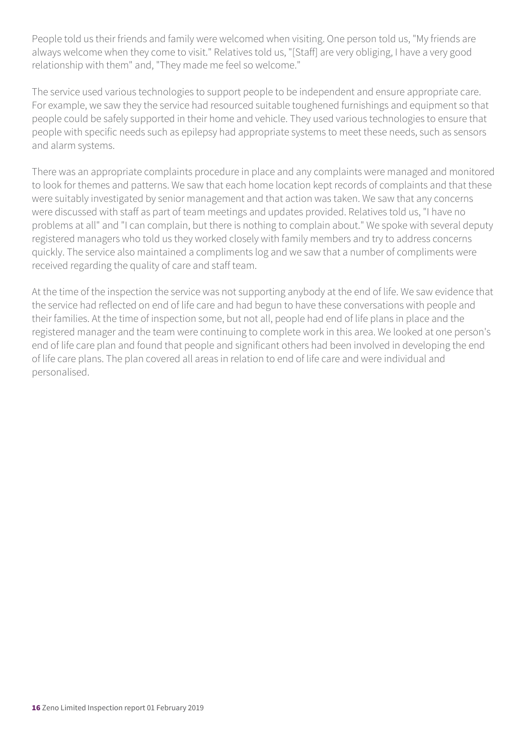People told us their friends and family were welcomed when visiting. One person told us, "My friends are always welcome when they come to visit." Relatives told us, "[Staff] are very obliging, I have a very good relationship with them" and, "They made me feel so welcome."

The service used various technologies to support people to be independent and ensure appropriate care. For example, we saw they the service had resourced suitable toughened furnishings and equipment so that people could be safely supported in their home and vehicle. They used various technologies to ensure that people with specific needs such as epilepsy had appropriate systems to meet these needs, such as sensors and alarm systems.

There was an appropriate complaints procedure in place and any complaints were managed and monitored to look for themes and patterns. We saw that each home location kept records of complaints and that these were suitably investigated by senior management and that action was taken. We saw that any concerns were discussed with staff as part of team meetings and updates provided. Relatives told us, "I have no problems at all" and "I can complain, but there is nothing to complain about." We spoke with several deputy registered managers who told us they worked closely with family members and try to address concerns quickly. The service also maintained a compliments log and we saw that a number of compliments were received regarding the quality of care and staff team.

At the time of the inspection the service was not supporting anybody at the end of life. We saw evidence that the service had reflected on end of life care and had begun to have these conversations with people and their families. At the time of inspection some, but not all, people had end of life plans in place and the registered manager and the team were continuing to complete work in this area. We looked at one person's end of life care plan and found that people and significant others had been involved in developing the end of life care plans. The plan covered all areas in relation to end of life care and were individual and personalised.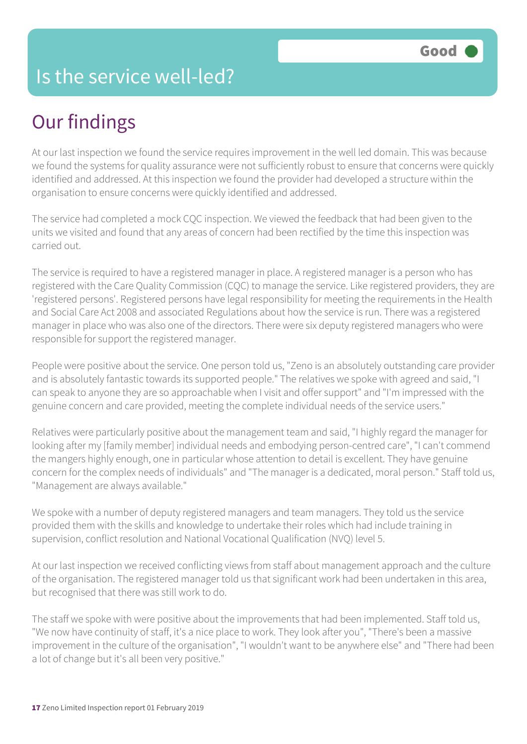#### Is the service well-led?

## Our findings

At our last inspection we found the service requires improvement in the well led domain. This was because we found the systems for quality assurance were not sufficiently robust to ensure that concerns were quickly identified and addressed. At this inspection we found the provider had developed a structure within the organisation to ensure concerns were quickly identified and addressed.

The service had completed a mock CQC inspection. We viewed the feedback that had been given to the units we visited and found that any areas of concern had been rectified by the time this inspection was carried out.

The service is required to have a registered manager in place. A registered manager is a person who has registered with the Care Quality Commission (CQC) to manage the service. Like registered providers, they are 'registered persons'. Registered persons have legal responsibility for meeting the requirements in the Health and Social Care Act 2008 and associated Regulations about how the service is run. There was a registered manager in place who was also one of the directors. There were six deputy registered managers who were responsible for support the registered manager.

People were positive about the service. One person told us, "Zeno is an absolutely outstanding care provider and is absolutely fantastic towards its supported people." The relatives we spoke with agreed and said, "I can speak to anyone they are so approachable when I visit and offer support" and "I'm impressed with the genuine concern and care provided, meeting the complete individual needs of the service users."

Relatives were particularly positive about the management team and said, "I highly regard the manager for looking after my [family member] individual needs and embodying person-centred care", "I can't commend the mangers highly enough, one in particular whose attention to detail is excellent. They have genuine concern for the complex needs of individuals" and "The manager is a dedicated, moral person." Staff told us, "Management are always available."

We spoke with a number of deputy registered managers and team managers. They told us the service provided them with the skills and knowledge to undertake their roles which had include training in supervision, conflict resolution and National Vocational Qualification (NVQ) level 5.

At our last inspection we received conflicting views from staff about management approach and the culture of the organisation. The registered manager told us that significant work had been undertaken in this area, but recognised that there was still work to do.

The staff we spoke with were positive about the improvements that had been implemented. Staff told us, "We now have continuity of staff, it's a nice place to work. They look after you", "There's been a massive improvement in the culture of the organisation", "I wouldn't want to be anywhere else" and "There had been a lot of change but it's all been very positive."